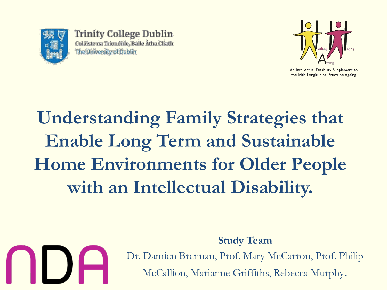

**Trinity College Dublin** Coláiste na Tríonóide, Baile Átha Cliath The University of Dublin



An Intellectual Disability Supplement to the Irish Longitudinal Study on Ageing

# **Understanding Family Strategies that Enable Long Term and Sustainable Home Environments for Older People with an Intellectual Disability.**



Dr. Damien Brennan, Prof. Mary McCarron, Prof. Philip McCallion, Marianne Griffiths, Rebecca Murphy.

**Study Team**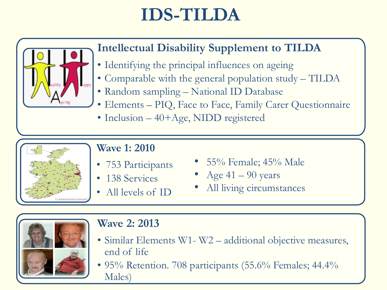## **IDS-TILDA**



#### **Intellectual Disability Supplement to TILDA**

- Identifying the principal influences on ageing
- Comparable with the general population study TILDA
- Random sampling National ID Database
- Elements PIQ, Face to Face, Family Carer Questionnaire
- Inclusion 40+Age, NIDD registered



#### **Wave 1: 2010**

- 753 Participants
- 138 Services
- All levels of **ID**
- 55% Female; 45% Male
- Age  $41 90$  years
- All living circumstances



#### **Wave 2: 2013**

- Similar Elements W1- W2 additional objective measures, end of life
- 95% Retention. 708 participants (55.6% Females; 44.4% Males)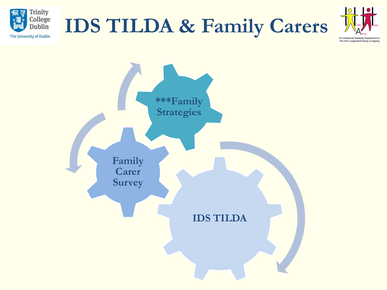





An Intellectual Disability Supplement to The Irish Longitudinal Study on Ageing

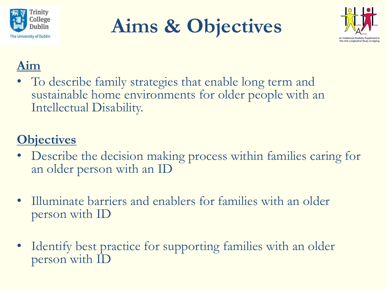

**Aims & Objectives**



### **Aim**

• To describe family strategies that enable long term and sustainable home environments for older people with an Intellectual Disability.

### **Objectives**

- Describe the decision making process within families caring for an older person with an ID
- Illuminate barriers and enablers for families with an older person with ID
- Identify best practice for supporting families with an older person with ID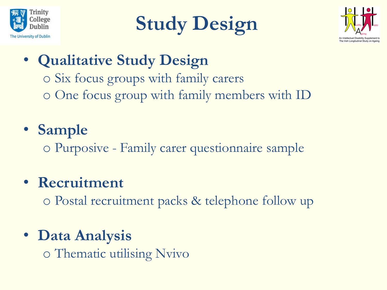





- **Qualitative Study Design**
	- o Six focus groups with family carers o One focus group with family members with ID
- **Sample**
	- o Purposive Family carer questionnaire sample
- **Recruitment**
	- o Postal recruitment packs & telephone follow up
- **Data Analysis** o Thematic utilising Nvivo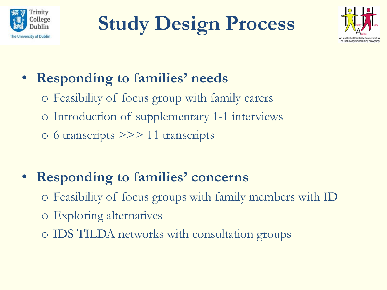

**Study Design Process**



### • **Responding to families' needs**

- o Feasibility of focus group with family carers
- o Introduction of supplementary 1-1 interviews
- o 6 transcripts >>> 11 transcripts

### • **Responding to families' concerns**

- o Feasibility of focus groups with family members with ID
- o Exploring alternatives
- o IDS TILDA networks with consultation groups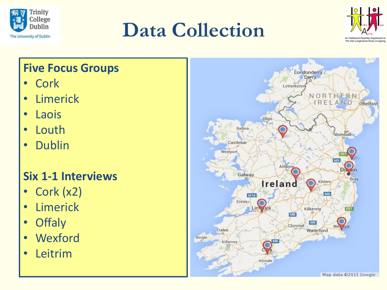

# **Data Collection**



#### **Five Focus Groups**

- Cork
- **Limerick**
- Laois
- Louth
- Dublin

### **Six 1-1 Interviews**

- Cork (x2)
- **Limerick**
- **Offaly**
- **Wexford**
- **Leitrim**

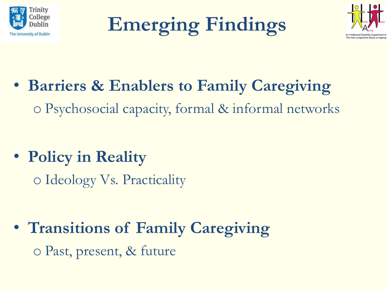

**Emerging Findings**



- **Barriers & Enablers to Family Caregiving** o Psychosocial capacity, formal & informal networks
- **Policy in Reality**

o Ideology Vs. Practicality

• **Transitions of Family Caregiving** o Past, present, & future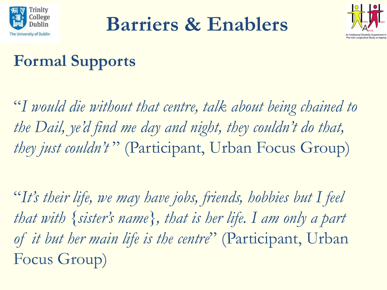

**Barriers & Enablers**



### **Formal Supports**

"*I would die without that centre, talk about being chained to the Dail, ye'd find me day and night, they couldn't do that, they just couldn't* " (Participant, Urban Focus Group)

"*It's their life, we may have jobs, friends, hobbies but I feel that with {sister's name}, that is her life. I am only a part of it but her main life is the centre*" (Participant, Urban Focus Group)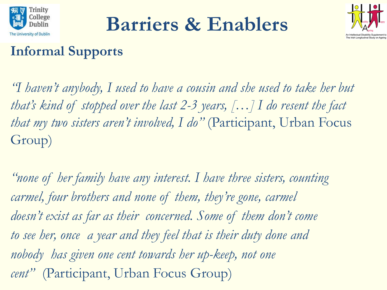

**Barriers & Enablers**



### **Informal Supports**

*"I haven't anybody, I used to have a cousin and she used to take her but that's kind of stopped over the last 2-3 years, […] I do resent the fact that my two sisters aren't involved, I do"* (Participant, Urban Focus Group)

*"none of her family have any interest. I have three sisters, counting carmel, four brothers and none of them, they're gone, carmel doesn't exist as far as their concerned. Some of them don't come to see her, once a year and they feel that is their duty done and nobody has given one cent towards her up-keep, not one cent"* (Participant, Urban Focus Group)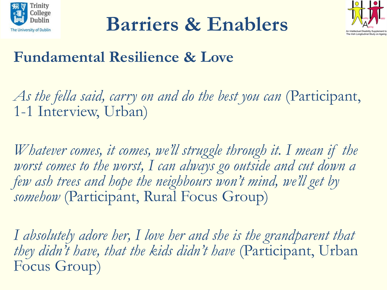





### **Fundamental Resilience & Love**

*As the fella said, carry on and do the best you can* (Participant, 1-1 Interview, Urban)

*Whatever comes, it comes, we'll struggle through it. I mean if the*  worst comes to the worst, I can always go outside and cut down a *few ash trees and hope the neighbours won't mind, we'll get by somehow* (Participant, Rural Focus Group)

*I absolutely adore her, I love her and she is the grandparent that they didn't have, that the kids didn't have* (Participant, Urban Focus Group)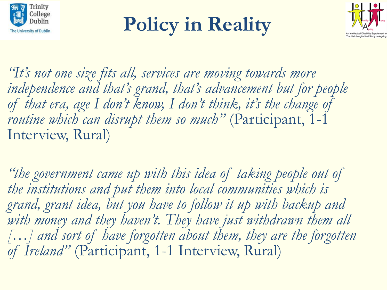

# **Policy in Reality**



*"It's not one size fits all, services are moving towards more independence and that's grand, that's advancement but for people of that era, age I don't know, I don't think, it's the change of routine which can disrupt them so much"* (Participant, 1-1 Interview, Rural)

*"the government came up with this idea of taking people out of the institutions and put them into local communities which is grand, grant idea, but you have to follow it up with backup and with money and they haven't. They have just withdrawn them all […] and sort of have forgotten about them, they are the forgotten of Ireland"* (Participant, 1-1 Interview, Rural)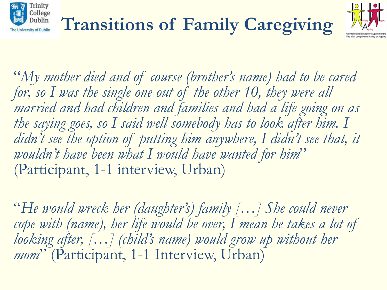

"*My mother died and of course (brother's name) had to be cared*  for, so I was the single one out of the other 10, they were all *married and had children and families and had a life going on as the saying goes, so I said well somebody has to look after him. I*  didn't see the option of putting him anywhere, I didn't see that, it *wouldn't have been what I would have wanted for him*" (Participant, 1-1 interview, Urban)

"*He would wreck her (daughter's) family […] She could never*  cope with (name), her life would be over, I mean he takes a lot of *looking after, […] (child's name) would grow up without her mom*" (Participant, 1-1 Interview, Urban)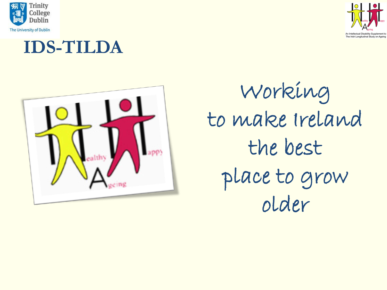







Working to make Ireland the best place to grow older